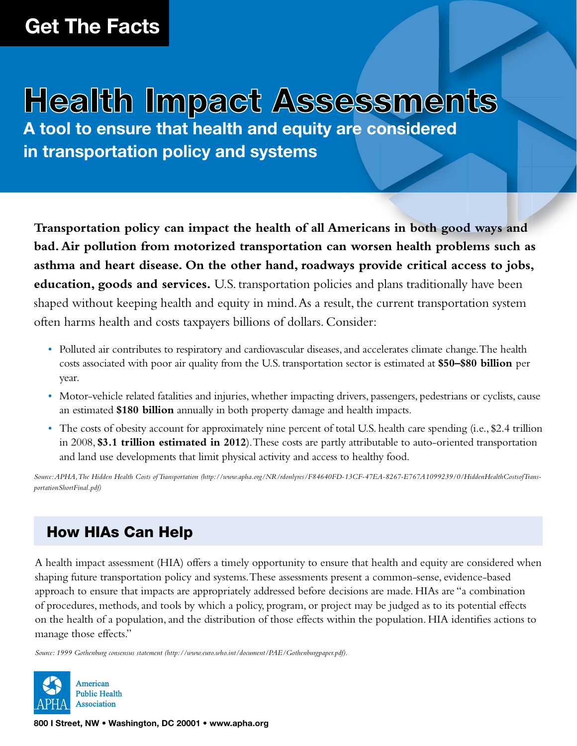# Health Impact Assessments

**A tool to ensure that health and equity are considered in transportation policy and systems**

bad. Air politition from motorized transportation can worsen health problems such as<br>asthma and heart disease. On the other hand, roadways provide critical access to jobs, **Transportation policy can impact the health of all Americans in both good ways and bad. Air pollution from motorized transportation can worsen health problems such as education, goods and services.** U.S. transportation policies and plans traditionally have been shaped without keeping health and equity in mind. As a result, the current transportation system often harms health and costs taxpayers billions of dollars. Consider:

- Polluted air contributes to respiratory and cardiovascular diseases, and accelerates climate change. The health costs associated with poor air quality from the U.S. transportation sector is estimated at **\$50–\$80 billion** per year.
- Motor-vehicle related fatalities and injuries, whether impacting drivers, passengers, pedestrians or cyclists, cause an estimated **\$180 billion** annually in both property damage and health impacts.
- The costs of obesity account for approximately nine percent of total U.S. health care spending (i.e., \$2.4 trillion in 2008, **\$3.1 trillion estimated in 2012**). These costs are partly attributable to auto-oriented transportation and land use developments that limit physical activity and access to healthy food.

*Source: APHA, The Hidden Health Costs of Transportation (http://www.apha.org/NR/rdonlyres/F84640FD-13CF-47EA-8267-E767A1099239/0/HiddenHealthCostsofTransportationShortFinal.pdf)*

## How HIAs Can Help

A health impact assessment (HIA) offers a timely opportunity to ensure that health and equity are considered when shaping future transportation policy and systems. These assessments present a common-sense, evidence-based approach to ensure that impacts are appropriately addressed before decisions are made. HIAs are "a combination of procedures, methods, and tools by which a policy, program, or project may be judged as to its potential effects on the health of a population, and the distribution of those effects within the population. HIA identifies actions to manage those effects."

*Source: 1999 Gothenburg consensus statement (http://www.euro.who.int/document/PAE/Gothenburgpaper.pdf).*



**800 I Street, NW • Washington, DC 20001 • www.apha.org**